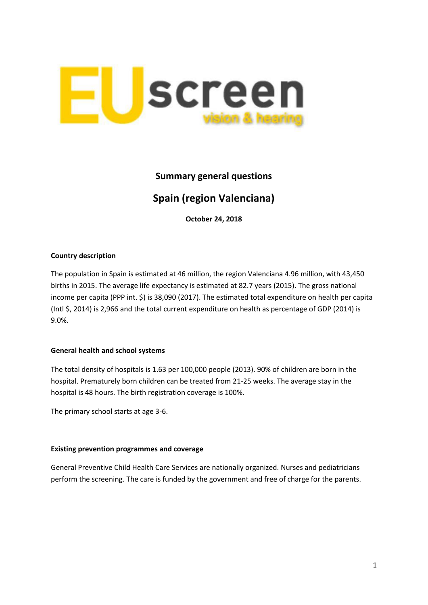

# **Summary general questions**

# **Spain (region Valenciana)**

**October 24, 2018**

## **Country description**

The population in Spain is estimated at 46 million, the region Valenciana 4.96 million, with 43,450 births in 2015. The average life expectancy is estimated at 82.7 years (2015). The gross national income per capita (PPP int. \$) is 38,090 (2017). The estimated total expenditure on health per capita (Intl \$, 2014) is 2,966 and the total current expenditure on health as percentage of GDP (2014) is 9.0%.

## **General health and school systems**

The total density of hospitals is 1.63 per 100,000 people (2013). 90% of children are born in the hospital. Prematurely born children can be treated from 21-25 weeks. The average stay in the hospital is 48 hours. The birth registration coverage is 100%.

The primary school starts at age 3-6.

#### **Existing prevention programmes and coverage**

General Preventive Child Health Care Services are nationally organized. Nurses and pediatricians perform the screening. The care is funded by the government and free of charge for the parents.